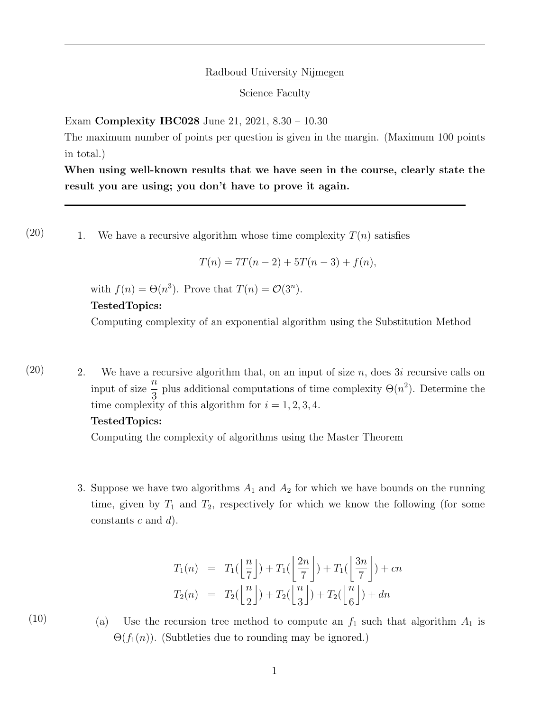## Radboud University Nijmegen

Science Faculty

Exam Complexity IBC028 June 21, 2021, 8.30 – 10.30

The maximum number of points per question is given in the margin. (Maximum 100 points in total.)

When using well-known results that we have seen in the course, clearly state the result you are using; you don't have to prove it again.

 $(20)$  1. We have a recursive algorithm whose time complexity  $T(n)$  satisfies

 $T(n) = 7T(n-2) + 5T(n-3) + f(n),$ 

with  $f(n) = \Theta(n^3)$ . Prove that  $T(n) = \mathcal{O}(3^n)$ .

#### TestedTopics:

Computing complexity of an exponential algorithm using the Substitution Method

 $(20)$  2. We have a recursive algorithm that, on an input of size *n*, does 3*i* recursive calls on input of size  $\frac{n}{2}$ 3 plus additional computations of time complexity  $\Theta(n^2)$ . Determine the time complexity of this algorithm for  $i = 1, 2, 3, 4$ .

### TestedTopics:

Computing the complexity of algorithms using the Master Theorem

3. Suppose we have two algorithms  $A_1$  and  $A_2$  for which we have bounds on the running time, given by  $T_1$  and  $T_2$ , respectively for which we know the following (for some constants c and  $d$ ).

$$
T_1(n) = T_1\left(\left\lfloor \frac{n}{7} \right\rfloor\right) + T_1\left(\left\lfloor \frac{2n}{7} \right\rfloor\right) + T_1\left(\left\lfloor \frac{3n}{7} \right\rfloor\right) + cn
$$
  

$$
T_2(n) = T_2\left(\left\lfloor \frac{n}{2} \right\rfloor\right) + T_2\left(\left\lfloor \frac{n}{3} \right\rfloor\right) + T_2\left(\left\lfloor \frac{n}{6} \right\rfloor\right) + dn
$$

(10) (a) Use the recursion tree method to compute an  $f_1$  such that algorithm  $A_1$  is  $\Theta(f_1(n))$ . (Subtleties due to rounding may be ignored.)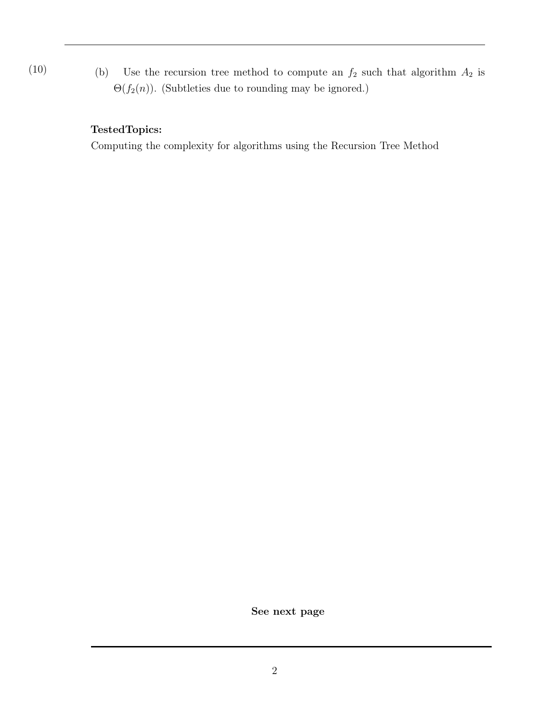(10) (b) Use the recursion tree method to compute an  $f_2$  such that algorithm  $A_2$  is  $\Theta(f_2(n))$ . (Subtleties due to rounding may be ignored.)

# TestedTopics:

Computing the complexity for algorithms using the Recursion Tree Method

See next page

2